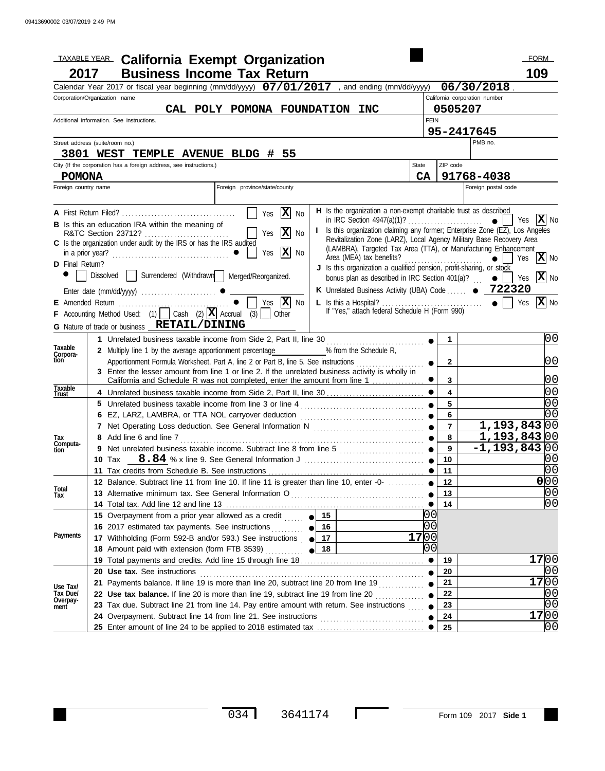|                          | <b>TAXABLE YEAR.</b> California Exempt Organization                                                                                         |                 |                         | <b>FORM</b>                   |
|--------------------------|---------------------------------------------------------------------------------------------------------------------------------------------|-----------------|-------------------------|-------------------------------|
| 2017                     | <b>Business Income Tax Return</b>                                                                                                           |                 |                         | 109                           |
|                          | Calendar Year 2017 or fiscal year beginning (mm/dd/yyyy) $07/01/2017$ , and ending (mm/dd/yyyy) $06/30/2018$                                |                 |                         |                               |
|                          | Corporation/Organization name                                                                                                               |                 |                         | California corporation number |
|                          | CAL POLY POMONA FOUNDATION INC                                                                                                              |                 | 0505207                 |                               |
|                          | Additional information. See instructions.                                                                                                   | <b>FEIN</b>     |                         |                               |
|                          |                                                                                                                                             |                 |                         | 95-2417645                    |
|                          | Street address (suite/room no.)                                                                                                             |                 |                         | PMB no.                       |
|                          | 3801 WEST TEMPLE AVENUE BLDG # 55                                                                                                           |                 |                         |                               |
|                          | City (If the corporation has a foreign address, see instructions.)                                                                          | State           | ZIP code                |                               |
| <b>POMONA</b>            |                                                                                                                                             | CA              |                         | 91768-4038                    |
| Foreign country name     | Foreign province/state/county                                                                                                               |                 |                         | Foreign postal code           |
|                          | H Is the organization a non-exempt charitable trust as described<br>$ \mathbf{x} $                                                          |                 |                         |                               |
|                          | Yes<br>No<br><b>B</b> Is this an education IRA within the meaning of                                                                        |                 |                         | $ \mathbf{X} $ No<br>Yes      |
|                          | I Is this organization claiming any former; Enterprise Zone (EZ), Los Angeles<br>$\mathbf{x}$<br>Yes<br>No                                  |                 |                         |                               |
|                          | Revitalization Zone (LARZ), Local Agency Military Base Recovery Area<br>C Is the organization under audit by the IRS or has the IRS audited |                 |                         |                               |
|                          | (LAMBRA), Targeted Tax Area (TTA), or Manufacturing Enhancement<br> X <br>Yes<br>No                                                         |                 |                         | X No<br>$\bullet$<br>Yes      |
| <b>D</b> Final Return?   | J Is this organization a qualified pension, profit-sharing, or stock                                                                        |                 |                         |                               |
|                          | Dissolved Surrendered (Withdrawn Merged/Reorganized.<br>bonus plan as described in IRC Section 401(a)? $\qquad \qquad \bullet \qquad$ Yes   |                 |                         | X No                          |
|                          | K Unrelated Business Activity (UBA) Code  . 222320                                                                                          |                 |                         |                               |
|                          | No                                                                                                                                          |                 |                         | X No<br>Yes                   |
|                          | F Accounting Method Used: (1) Cash (2) $\boxed{\mathbf{X}}$ Accrual (3) Other                                                               |                 |                         |                               |
|                          | G Nature of trade or business RETAIL/DINING                                                                                                 |                 |                         |                               |
|                          | 1 Unrelated business taxable income from Side 2, Part II, line 30                                                                           |                 | $\mathbf{1}$            | 00                            |
| Taxable                  | 2 Multiply line 1 by the average apportionment percentage 4 % from the Schedule R,                                                          |                 |                         |                               |
| Corpora-<br>tion         | Apportionment Formula Worksheet, Part A, line 2 or Part B, line 5. See instructions                                                         |                 | $\mathbf{2}$            | 00                            |
|                          | 3 Enter the lesser amount from line 1 or line 2. If the unrelated business activity is wholly in                                            |                 |                         |                               |
|                          | California and Schedule R was not completed, enter the amount from line 1                                                                   |                 | $\mathbf{3}$            | 0 <sub>0</sub>                |
| <u>T</u> axable<br>Trust | 4 Unrelated business taxable income from Side 2, Part II, line 30                                                                           |                 | $\overline{\mathbf{4}}$ | 0 <sub>0</sub>                |
|                          |                                                                                                                                             |                 | 5                       | 0 <sub>0</sub>                |
|                          |                                                                                                                                             |                 | 6                       | 00                            |
|                          |                                                                                                                                             |                 | $\overline{7}$          | 1,193,843 00                  |
| Тах<br>Computa-          | Add line 6 and line 7                                                                                                                       |                 | 8                       | 1,193,843 00                  |
| tion                     | Net unrelated business taxable income. Subtract line 8 from line 5 [[[[[[[[[[[[[[[[[[[[[]]]]]] ●<br>9                                       |                 | 9                       | $-1, 193, 843 00$             |
|                          | 11 Tax credits from Schedule B. See instructions                                                                                            |                 | 10<br>11                | 00<br>0 <sub>0</sub>          |
|                          | 12 Balance. Subtract line 11 from line 10. If line 11 is greater than line 10, enter -0-                                                    |                 |                         | 0 00                          |
| Total                    |                                                                                                                                             |                 | 12<br>13                | 00                            |
| Tax                      |                                                                                                                                             |                 | 14                      | 00                            |
|                          | 15 Overpayment from a prior year allowed as a credit $\frac{1}{2}$ $\frac{15}{2}$                                                           |                 |                         |                               |
|                          | 16 2017 estimated tax payments. See instructions <b>6 16</b>                                                                                | $\overline{00}$ |                         |                               |
| Payments                 | 17 Withholding (Form 592-B and/or 593.) See instructions   17                                                                               | 17<br>lo o      |                         |                               |
|                          | 18 Amount paid with extension (form FTB 3539)<br>$\bullet$ $\frac{18}{18}$                                                                  | $\overline{0}0$ |                         |                               |
|                          |                                                                                                                                             |                 | 19                      | 17 00                         |
|                          | 20 Use tax. See instructions                                                                                                                |                 | 20                      | IO 0                          |
| Use Tax/                 |                                                                                                                                             |                 | 21                      | 17 00                         |
| Tax Due/                 | 22 Use tax balance. If line 20 is more than line 19, subtract line 19 from line 20                                                          |                 | 22                      | 10 O                          |
| Overpay-<br>ment         | 23 Tax due. Subtract line 21 from line 14. Pay entire amount with return. See instructions                                                  |                 | 23                      | 0 <sub>0</sub>                |
|                          |                                                                                                                                             |                 | 24                      | 17 00                         |
|                          |                                                                                                                                             |                 | 25                      | 00                            |

 $\Box$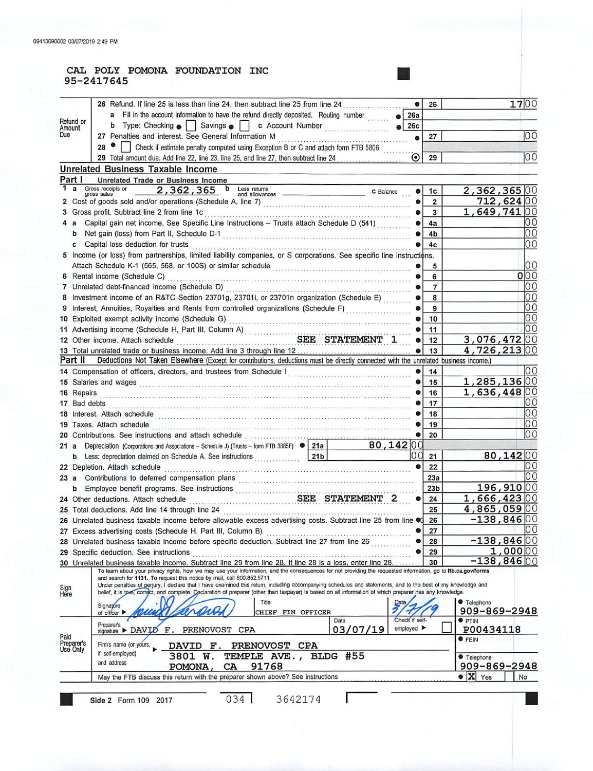#### CAL POLY POMONA FOUNDATION INC 95-2417645

|              |                        | 26 Refund. If line 25 is less than line 24, then subtract line 25 from line 24                                                                                                                                                                                                                                            | 26                           | 1700                             |
|--------------|------------------------|---------------------------------------------------------------------------------------------------------------------------------------------------------------------------------------------------------------------------------------------------------------------------------------------------------------------------|------------------------------|----------------------------------|
|              |                        | a Fill in the account information to have the refund directly deposited. Routing number<br>26a                                                                                                                                                                                                                            |                              |                                  |
|              | Refund or<br>Amount    | b Type: Checking • Savings • c Account Number<br>26c                                                                                                                                                                                                                                                                      |                              |                                  |
| Due          |                        | 27 Penalties and interest. See General Information M                                                                                                                                                                                                                                                                      | 27                           | 00                               |
|              |                        |                                                                                                                                                                                                                                                                                                                           |                              |                                  |
|              |                        | 27 Penantes and interest. See School. Interest of the Stephen B or C and attach form FTB 5806<br>29 Total amount due. Add line 22, line 23, line 25, and line 27, then subtract line 24                                                                                                                                   | 29                           | 100                              |
|              |                        | <b>Unrelated Business Taxable Income</b>                                                                                                                                                                                                                                                                                  |                              |                                  |
|              | Part I                 |                                                                                                                                                                                                                                                                                                                           |                              |                                  |
| 1            | $\mathbf{a}$           | Unrelated Trade or Business Income<br>Gross receipts or<br>2,362,365 b Less returns                                                                                                                                                                                                                                       |                              | 2,362,365 00                     |
|              |                        | C Balance<br>and allowances<br>gross sales                                                                                                                                                                                                                                                                                | 1c                           | 712,624 00                       |
|              |                        |                                                                                                                                                                                                                                                                                                                           | $\overline{\mathbf{2}}$<br>3 | 1,649,74100                      |
|              |                        | Capital gain net income. See Specific Line Instructions - Trusts attach Schedule D (541)                                                                                                                                                                                                                                  |                              | ΟO                               |
|              | 4 a                    |                                                                                                                                                                                                                                                                                                                           | 4a                           | 10 O                             |
|              | b                      |                                                                                                                                                                                                                                                                                                                           | 4b                           |                                  |
|              | с                      | Capital loss deduction for trusts contained and contained and contained and capital loss deduction for trusts                                                                                                                                                                                                             | 4c                           | l0 0                             |
|              |                        | 5 Income (or loss) from partnerships, limited liability companies, or S corporations. See specific line instructions.                                                                                                                                                                                                     |                              |                                  |
|              |                        |                                                                                                                                                                                                                                                                                                                           | 5                            | 10 O                             |
|              |                        |                                                                                                                                                                                                                                                                                                                           | 6                            | 000                              |
|              |                        |                                                                                                                                                                                                                                                                                                                           | 7                            | 10 O                             |
|              |                        | 8 Investment income of an R&TC Section 23701g, 23701i, or 23701n organization (Schedule E)                                                                                                                                                                                                                                | 8                            | 10 O                             |
|              |                        | 9 Interest, Annuities, Royalties and Rents from controlled organizations (Schedule F)                                                                                                                                                                                                                                     | 9                            | 00                               |
|              |                        |                                                                                                                                                                                                                                                                                                                           | 10                           | 10 O                             |
|              |                        |                                                                                                                                                                                                                                                                                                                           | 11                           | 00                               |
|              |                        | 12 Other income. Attach schedule SEE STATEMENT 1                                                                                                                                                                                                                                                                          | 12                           | $3,076,472$ 00                   |
|              |                        |                                                                                                                                                                                                                                                                                                                           | 13                           | 4,726,21300                      |
|              | Part II                | Deductions Not Taken Elsewhere (Except for contributions, deductions must be directly connected with the unrelated business income.)                                                                                                                                                                                      |                              |                                  |
|              |                        |                                                                                                                                                                                                                                                                                                                           | 14                           | 10 O                             |
|              |                        | 15 Salaries and wages <b>Express Contract Contract Contract Contract Contract Contract Contract Contract Contract Contract Contract Contract Contract Contract Contract Contract Contract Contract Contract Contract Contract Co</b>                                                                                      | 15                           | 1,285,136 00                     |
|              |                        |                                                                                                                                                                                                                                                                                                                           | 16                           | 1,636,44800                      |
|              |                        |                                                                                                                                                                                                                                                                                                                           | 17                           | ЮO                               |
|              |                        |                                                                                                                                                                                                                                                                                                                           | 18                           | 100                              |
|              |                        | 19 Taxes. Attach schedule entertainment contains and a final schedule contained a series of the schedule containing and a final schedule containing and a final schedule containing and a final schedule contained a final sch                                                                                            | 19                           | 00                               |
|              |                        |                                                                                                                                                                                                                                                                                                                           | 20                           | l0 0                             |
|              | 21 a                   | Depreciation (Corporations and Associations - Schedule J) (Trusts - form FTB 3885F) ● 21a<br>80,142 00                                                                                                                                                                                                                    |                              |                                  |
|              |                        | b Less: depreciation claimed on Schedule A. See instructions 21b                                                                                                                                                                                                                                                          | 21                           | 80,142 00                        |
|              |                        |                                                                                                                                                                                                                                                                                                                           | 22                           | 10 O                             |
|              |                        |                                                                                                                                                                                                                                                                                                                           | 23a                          | 10 O                             |
|              |                        | b Employee benefit programs. See instructions<br>24 Other deductions. Attach schedule<br>24 Other deductions. Attach schedule<br>24 Other deductions.                                                                                                                                                                     | 23 <sub>b</sub>              | 196,910 00                       |
|              |                        |                                                                                                                                                                                                                                                                                                                           | 24                           | 1,666,423 00                     |
|              |                        |                                                                                                                                                                                                                                                                                                                           | 25                           | $4,865,059$ 00                   |
|              |                        | 26 Unrelated business taxable income before allowable excess advertising costs. Subtract line 25 from line $\heartsuit$ 3                                                                                                                                                                                                 | 26                           | $-138,846 00$                    |
|              |                        | 27 Excess advertising costs (Schedule H, Part III, Column B)                                                                                                                                                                                                                                                              | 27                           | IO O                             |
|              |                        | 28 Unrelated business taxable income before specific deduction. Subtract line 27 from line 26                                                                                                                                                                                                                             | 28                           | $-138,846 00$                    |
|              |                        | 29 Specific deduction. See instructions                                                                                                                                                                                                                                                                                   | 29                           | 1,000 00                         |
|              |                        | 30 Unrelated business taxable income. Subtract line 29 from line 28. If line 28 is a loss, enter line 28.<br>To learn about your privacy rights, how we may use your information, and the consequences for not providing the requested information, go to ftb.ca.gov/forms                                                | 30                           | $-138,846 00$                    |
|              |                        | and search for 1131. To request this notice by mail, call 800.852.5711.                                                                                                                                                                                                                                                   |                              |                                  |
| Sign<br>Here |                        | Under penalties of perjury, I declare that I have examined this return, including accompanying schedules and statements, and to the best of my knowledge and<br>belief, it is to e, correct, and complete. Declaration of preparer (other than taxpayer) is based on all information of which preparer has any knowledge. |                              |                                  |
|              |                        | Title<br><b>Date</b>                                                                                                                                                                                                                                                                                                      |                              | <b>Telephone</b>                 |
|              |                        | Signature<br>CHIEF FIN OFFICER<br>of officer $\blacktriangleright$                                                                                                                                                                                                                                                        |                              | 909-869-2948                     |
|              |                        | Check if self-<br>Date                                                                                                                                                                                                                                                                                                    |                              | <b>O</b> PTIN                    |
|              |                        | Preparer's<br>employed $\blacktriangleright$<br>03/07/19<br>PRENOVOST<br>signature > DAVID<br>$\mathbf{F}$ .<br>CPA                                                                                                                                                                                                       |                              | P00434118                        |
| Paid         |                        | Firm's name (or yours,                                                                                                                                                                                                                                                                                                    |                              | <b>•</b> FEIN                    |
|              | Preparer's<br>Use Only | DAVID F.<br>PRENOVOST CPA<br>if self-employed)<br>3801 W.<br>TEMPLE AVE.,                                                                                                                                                                                                                                                 |                              |                                  |
|              |                        | BLDG #55<br>and address                                                                                                                                                                                                                                                                                                   |                              | <b>Telephone</b><br>909-869-2948 |
|              |                        | 91768<br>CA<br>POMONA,<br>May the FTB discuss this return with the preparer shown above? See instructions                                                                                                                                                                                                                 |                              | $\bullet$ X<br>Yes               |
|              |                        |                                                                                                                                                                                                                                                                                                                           |                              | No                               |
|              |                        |                                                                                                                                                                                                                                                                                                                           |                              |                                  |
|              |                        | 034<br>3642174<br>Side 2 Form 109 2017                                                                                                                                                                                                                                                                                    |                              |                                  |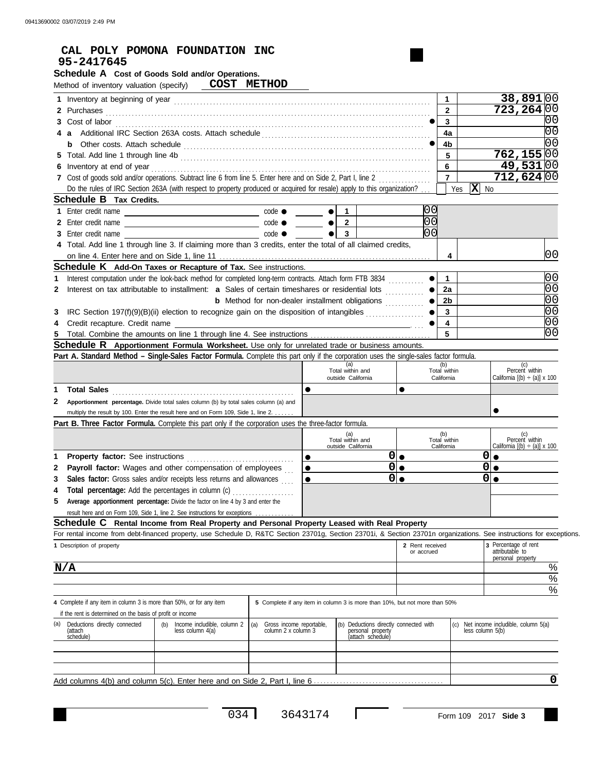| 95-2417645                                                                                                                                                                                                                           |                                                                                       |                                                                                                                      |                                               |                                                                 |
|--------------------------------------------------------------------------------------------------------------------------------------------------------------------------------------------------------------------------------------|---------------------------------------------------------------------------------------|----------------------------------------------------------------------------------------------------------------------|-----------------------------------------------|-----------------------------------------------------------------|
| Schedule A Cost of Goods Sold and/or Operations.                                                                                                                                                                                     |                                                                                       |                                                                                                                      |                                               |                                                                 |
| Method of inventory valuation (specify) COST METHOD                                                                                                                                                                                  |                                                                                       |                                                                                                                      |                                               |                                                                 |
|                                                                                                                                                                                                                                      |                                                                                       |                                                                                                                      | $\mathbf{1}$                                  | 38,891 00                                                       |
|                                                                                                                                                                                                                                      |                                                                                       |                                                                                                                      |                                               |                                                                 |
| 2 Purchases <b>contract and the contract of the contract of the contract of the contract of the contract of the contract of the contract of the contract of the contract of the contract of the contract of the contract of the </b> |                                                                                       |                                                                                                                      | $\mathbf{2}$<br>$\mathbf{3}$                  | 723,264 00<br>$\overline{0}$                                    |
|                                                                                                                                                                                                                                      |                                                                                       |                                                                                                                      |                                               | O0                                                              |
|                                                                                                                                                                                                                                      |                                                                                       |                                                                                                                      | 4a                                            | 00                                                              |
|                                                                                                                                                                                                                                      |                                                                                       |                                                                                                                      | 4b                                            |                                                                 |
|                                                                                                                                                                                                                                      |                                                                                       |                                                                                                                      | 5                                             | 762, 155 00                                                     |
|                                                                                                                                                                                                                                      |                                                                                       |                                                                                                                      | 6<br>$\overline{7}$                           | <u>49,531   00</u>                                              |
| 7 Cost of goods sold and/or operations. Subtract line 6 from line 5. Enter here and on Side 2, Part I, line 2                                                                                                                        |                                                                                       |                                                                                                                      |                                               | 712,624 00                                                      |
| Do the rules of IRC Section 263A (with respect to property produced or acquired for resale) apply to this organization?                                                                                                              |                                                                                       |                                                                                                                      | Yes                                           | $\mathbf{X}$ No                                                 |
| <b>Schedule B</b> Tax Credits.                                                                                                                                                                                                       |                                                                                       |                                                                                                                      |                                               |                                                                 |
|                                                                                                                                                                                                                                      |                                                                                       | $\mathbf{1}$<br>$\bullet$ l                                                                                          |                                               |                                                                 |
|                                                                                                                                                                                                                                      |                                                                                       | $\overline{2}$                                                                                                       |                                               |                                                                 |
|                                                                                                                                                                                                                                      |                                                                                       | $\overline{\mathbf{3}}$<br>$\bullet$                                                                                 |                                               |                                                                 |
| 4 Total. Add line 1 through line 3. If claiming more than 3 credits, enter the total of all claimed credits,                                                                                                                         |                                                                                       |                                                                                                                      |                                               |                                                                 |
|                                                                                                                                                                                                                                      |                                                                                       |                                                                                                                      | $\overline{4}$                                | 00                                                              |
| <b>Schedule K</b> Add-On Taxes or Recapture of Tax. See instructions.                                                                                                                                                                |                                                                                       |                                                                                                                      |                                               |                                                                 |
| Interest computation under the look-back method for completed long-term contracts. Attach form FTB 3834                                                                                                                              |                                                                                       |                                                                                                                      | 1.                                            | 0 <sub>0</sub>                                                  |
| Interest on tax attributable to installment: a Sales of certain timeshares or residential lots                                                                                                                                       |                                                                                       |                                                                                                                      | 2a                                            | $\overline{00}$                                                 |
|                                                                                                                                                                                                                                      | <b>b</b> Method for non-dealer installment obligations <i>minimizing</i>              |                                                                                                                      | $\bullet$<br>2 <sub>b</sub>                   | $\overline{00}$                                                 |
| IRC Section 197(f)(9)(B)(ii) election to recognize gain on the disposition of intangibles                                                                                                                                            |                                                                                       |                                                                                                                      | $\mathbf{3}$                                  | $\overline{00}$                                                 |
| Credit recapture. Credit name                                                                                                                                                                                                        |                                                                                       | <u> 1989 - Johann Stein, mars an deutscher Stein und der Stein und der Stein und der Stein und der Stein und der</u> | $\overline{\mathbf{4}}$                       | $\overline{00}$                                                 |
|                                                                                                                                                                                                                                      |                                                                                       |                                                                                                                      | $\overline{5}$                                | $\overline{00}$                                                 |
| <b>Schedule R</b> Apportionment Formula Worksheet. Use only for unrelated trade or business amounts.                                                                                                                                 |                                                                                       |                                                                                                                      |                                               |                                                                 |
| Part A. Standard Method - Single-Sales Factor Formula. Complete this part only if the corporation uses the single-sales factor formula.                                                                                              |                                                                                       |                                                                                                                      |                                               |                                                                 |
|                                                                                                                                                                                                                                      |                                                                                       | (a)                                                                                                                  | (b)<br>Total within                           | (c)<br>Percent within                                           |
|                                                                                                                                                                                                                                      |                                                                                       | Total within and                                                                                                     |                                               |                                                                 |
|                                                                                                                                                                                                                                      |                                                                                       | outside California                                                                                                   | California                                    |                                                                 |
|                                                                                                                                                                                                                                      | $\bullet$                                                                             |                                                                                                                      | $\bullet$                                     | California $[(b) \div (a)] \times 100$                          |
| Total Sales                                                                                                                                                                                                                          |                                                                                       |                                                                                                                      |                                               |                                                                 |
| Apportionment percentage. Divide total sales column (b) by total sales column (a) and<br>multiply the result by 100. Enter the result here and on Form 109, Side 1, line 2.                                                          |                                                                                       |                                                                                                                      |                                               |                                                                 |
|                                                                                                                                                                                                                                      |                                                                                       |                                                                                                                      |                                               |                                                                 |
| Part B. Three Factor Formula. Complete this part only if the corporation uses the three-factor formula.                                                                                                                              |                                                                                       |                                                                                                                      |                                               |                                                                 |
|                                                                                                                                                                                                                                      |                                                                                       | (a)<br>Total within and                                                                                              | (b)<br>Total within                           |                                                                 |
|                                                                                                                                                                                                                                      |                                                                                       | outside California                                                                                                   | California                                    | (c)<br>Percent within<br>California $[(b) \div (a)] \times 100$ |
|                                                                                                                                                                                                                                      | $\bullet$                                                                             |                                                                                                                      | $0 _{\bullet}$                                | $0 _{\bullet}$                                                  |
| Payroll factor: Wages and other compensation of employees                                                                                                                                                                            | $\bullet$                                                                             |                                                                                                                      | $\overline{\bullet}$                          | $ 0  \bullet$                                                   |
| Sales factor: Gross sales and/or receipts less returns and allowances                                                                                                                                                                | $\bullet$                                                                             |                                                                                                                      | $0 _{\bullet}$                                | $0 _{\bullet}$                                                  |
| Total percentage: Add the percentages in column (c)                                                                                                                                                                                  | .                                                                                     |                                                                                                                      |                                               |                                                                 |
| Average apportionment percentage: Divide the factor on line 4 by 3 and enter the                                                                                                                                                     |                                                                                       |                                                                                                                      |                                               |                                                                 |
| result here and on Form 109, Side 1, line 2. See instructions for exceptions                                                                                                                                                         |                                                                                       |                                                                                                                      |                                               |                                                                 |
| Schedule C Rental Income from Real Property and Personal Property Leased with Real Property                                                                                                                                          |                                                                                       |                                                                                                                      |                                               |                                                                 |
| For rental income from debt-financed property, use Schedule D, R&TC Section 23701g, Section 23701i, & Section 23701n organizations. See instructions for exceptions.                                                                 |                                                                                       |                                                                                                                      |                                               |                                                                 |
| 1 Description of property                                                                                                                                                                                                            |                                                                                       |                                                                                                                      | 2 Rent received<br>or accrued                 | 3 Percentage of rent<br>attributable to                         |
|                                                                                                                                                                                                                                      |                                                                                       |                                                                                                                      |                                               | personal property                                               |
| N/A                                                                                                                                                                                                                                  |                                                                                       |                                                                                                                      |                                               | %                                                               |
|                                                                                                                                                                                                                                      |                                                                                       |                                                                                                                      |                                               | $\%$                                                            |
|                                                                                                                                                                                                                                      |                                                                                       |                                                                                                                      |                                               | %                                                               |
| 4 Complete if any item in column 3 is more than 50%, or for any item                                                                                                                                                                 |                                                                                       | 5 Complete if any item in column 3 is more than 10%, but not more than 50%                                           |                                               |                                                                 |
| if the rent is determined on the basis of profit or income                                                                                                                                                                           |                                                                                       |                                                                                                                      |                                               |                                                                 |
| Deductions directly connected<br>(b)<br>less column 4(a)<br>(attach                                                                                                                                                                  | Income includible, column 2<br>(a)<br>Gross income reportable,<br>column 2 x column 3 | personal property                                                                                                    | (b) Deductions directly connected with<br>(c) | Net income includible, column 5(a)<br>less column 5(b)          |
| schedule)                                                                                                                                                                                                                            |                                                                                       | (attach schedule)                                                                                                    |                                               |                                                                 |
|                                                                                                                                                                                                                                      |                                                                                       |                                                                                                                      |                                               |                                                                 |
|                                                                                                                                                                                                                                      |                                                                                       |                                                                                                                      |                                               |                                                                 |

 $\Box$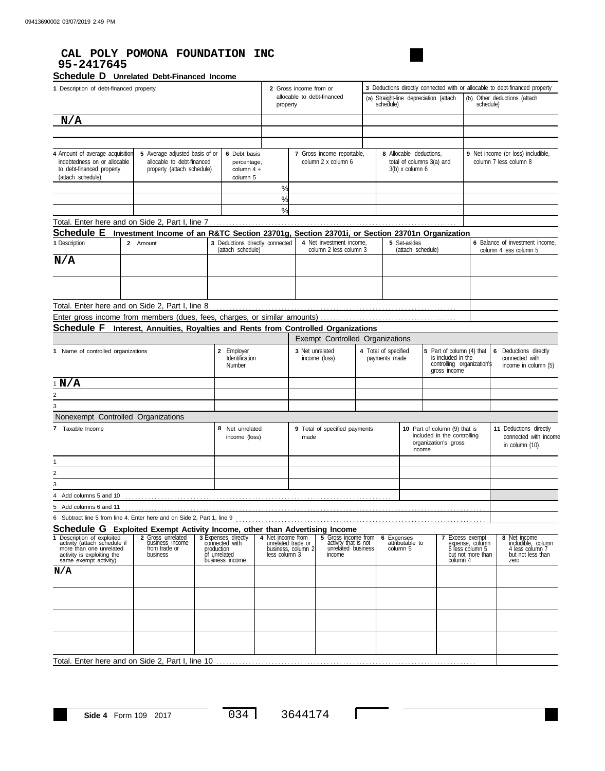## **CAL POLY POMONA FOUNDATION INC 95-2417645**

#### Schedule D Unrelated Debt-Financed Income

| 1 Description of debt-financed property                                                                                                                                                                         |          |                                                                                             |                                                            |                                                                                        |                                                          | 3 Deductions directly connected with or allocable to debt-financed property<br>2 Gross income from or<br>allocable to debt-financed<br>(a) Straight-line depreciation (attach<br>(b) Other deductions (attach<br>schedule)<br>schedule)<br>property |                                                                             |                                                                           |                                       |                                         |                                                                                      |                                                                                               |  |                                                                                    |
|-----------------------------------------------------------------------------------------------------------------------------------------------------------------------------------------------------------------|----------|---------------------------------------------------------------------------------------------|------------------------------------------------------------|----------------------------------------------------------------------------------------|----------------------------------------------------------|-----------------------------------------------------------------------------------------------------------------------------------------------------------------------------------------------------------------------------------------------------|-----------------------------------------------------------------------------|---------------------------------------------------------------------------|---------------------------------------|-----------------------------------------|--------------------------------------------------------------------------------------|-----------------------------------------------------------------------------------------------|--|------------------------------------------------------------------------------------|
| N/A                                                                                                                                                                                                             |          |                                                                                             |                                                            |                                                                                        |                                                          |                                                                                                                                                                                                                                                     |                                                                             |                                                                           |                                       |                                         |                                                                                      |                                                                                               |  |                                                                                    |
|                                                                                                                                                                                                                 |          |                                                                                             |                                                            |                                                                                        |                                                          |                                                                                                                                                                                                                                                     |                                                                             |                                                                           |                                       |                                         |                                                                                      |                                                                                               |  |                                                                                    |
|                                                                                                                                                                                                                 |          |                                                                                             |                                                            |                                                                                        |                                                          |                                                                                                                                                                                                                                                     |                                                                             |                                                                           |                                       |                                         |                                                                                      |                                                                                               |  |                                                                                    |
| 4 Amount of average acquisition<br>5 Average adjusted basis of or<br>indebtedness on or allocable<br>allocable to debt-financed<br>to debt-financed property<br>property (attach schedule)<br>(attach schedule) |          |                                                                                             | 6 Debt basis<br>percentage,<br>column $4 \div$<br>column 5 |                                                                                        |                                                          | 7 Gross income reportable,<br>column 2 x column 6                                                                                                                                                                                                   |                                                                             | 8 Allocable deductions,<br>total of columns 3(a) and<br>$3(b)$ x column 6 |                                       |                                         |                                                                                      | 9 Net income (or loss) includible,<br>column 7 less column 8                                  |  |                                                                                    |
|                                                                                                                                                                                                                 |          |                                                                                             |                                                            |                                                                                        | $\frac{0}{0}$<br>$\frac{9}{6}$                           |                                                                                                                                                                                                                                                     |                                                                             |                                                                           |                                       |                                         |                                                                                      |                                                                                               |  |                                                                                    |
|                                                                                                                                                                                                                 |          |                                                                                             |                                                            |                                                                                        | $\frac{9}{6}$                                            |                                                                                                                                                                                                                                                     |                                                                             |                                                                           |                                       |                                         |                                                                                      |                                                                                               |  |                                                                                    |
|                                                                                                                                                                                                                 |          |                                                                                             |                                                            |                                                                                        |                                                          |                                                                                                                                                                                                                                                     |                                                                             |                                                                           |                                       |                                         |                                                                                      |                                                                                               |  |                                                                                    |
| <b>Schedule E</b>                                                                                                                                                                                               |          | Investment Income of an R&TC Section 23701g, Section 23701i, or Section 23701n Organization |                                                            |                                                                                        |                                                          |                                                                                                                                                                                                                                                     |                                                                             |                                                                           |                                       |                                         |                                                                                      |                                                                                               |  |                                                                                    |
| 1 Description                                                                                                                                                                                                   | 2 Amount |                                                                                             |                                                            | 3 Deductions directly connected<br>(attach schedule)                                   |                                                          |                                                                                                                                                                                                                                                     | 4 Net investment income,<br>column 2 less column 3                          |                                                                           |                                       | 5 Set-asides<br>(attach schedule)       |                                                                                      |                                                                                               |  | 6 Balance of investment income,<br>column 4 less column 5                          |
| N/A                                                                                                                                                                                                             |          |                                                                                             |                                                            |                                                                                        |                                                          |                                                                                                                                                                                                                                                     |                                                                             |                                                                           |                                       |                                         |                                                                                      |                                                                                               |  |                                                                                    |
|                                                                                                                                                                                                                 |          |                                                                                             |                                                            |                                                                                        |                                                          |                                                                                                                                                                                                                                                     |                                                                             |                                                                           |                                       |                                         |                                                                                      |                                                                                               |  |                                                                                    |
| Total. Enter here and on Side 2, Part I, line 8                                                                                                                                                                 |          |                                                                                             |                                                            |                                                                                        |                                                          |                                                                                                                                                                                                                                                     |                                                                             |                                                                           |                                       |                                         |                                                                                      |                                                                                               |  |                                                                                    |
| Enter gross income from members (dues, fees, charges, or similar amounts)                                                                                                                                       |          |                                                                                             |                                                            |                                                                                        |                                                          |                                                                                                                                                                                                                                                     |                                                                             |                                                                           |                                       |                                         |                                                                                      |                                                                                               |  |                                                                                    |
| <b>Schedule F</b>                                                                                                                                                                                               |          | Interest, Annuities, Royalties and Rents from Controlled Organizations                      |                                                            |                                                                                        |                                                          |                                                                                                                                                                                                                                                     |                                                                             |                                                                           |                                       |                                         |                                                                                      |                                                                                               |  |                                                                                    |
|                                                                                                                                                                                                                 |          |                                                                                             |                                                            |                                                                                        |                                                          |                                                                                                                                                                                                                                                     | Exempt Controlled Organizations                                             |                                                                           |                                       |                                         |                                                                                      |                                                                                               |  |                                                                                    |
| 1 Name of controlled organizations                                                                                                                                                                              |          |                                                                                             |                                                            | 2 Employer<br>Identification<br>Number                                                 |                                                          |                                                                                                                                                                                                                                                     | 3 Net unrelated<br>income (loss)                                            |                                                                           | 4 Total of specified<br>payments made |                                         | is included in the<br>gross income                                                   | 5 Part of column (4) that<br>controlling organization's                                       |  | 6 Deductions directly<br>connected with<br>income in column (5)                    |
| 1 N/A                                                                                                                                                                                                           |          |                                                                                             |                                                            |                                                                                        |                                                          |                                                                                                                                                                                                                                                     |                                                                             |                                                                           |                                       |                                         |                                                                                      |                                                                                               |  |                                                                                    |
| 2                                                                                                                                                                                                               |          |                                                                                             |                                                            |                                                                                        |                                                          |                                                                                                                                                                                                                                                     |                                                                             |                                                                           |                                       |                                         |                                                                                      |                                                                                               |  |                                                                                    |
| 3                                                                                                                                                                                                               |          |                                                                                             |                                                            |                                                                                        |                                                          |                                                                                                                                                                                                                                                     |                                                                             |                                                                           |                                       |                                         |                                                                                      |                                                                                               |  |                                                                                    |
| Nonexempt Controlled Organizations                                                                                                                                                                              |          |                                                                                             |                                                            |                                                                                        |                                                          |                                                                                                                                                                                                                                                     |                                                                             |                                                                           |                                       |                                         |                                                                                      |                                                                                               |  |                                                                                    |
| 7 Taxable Income                                                                                                                                                                                                |          |                                                                                             |                                                            | 8 Net unrelated<br>income (loss)                                                       |                                                          | made                                                                                                                                                                                                                                                | 9 Total of specified payments                                               |                                                                           |                                       | income                                  | 10 Part of column (9) that is<br>included in the controlling<br>organization's gross |                                                                                               |  | 11 Deductions directly<br>connected with income<br>in column (10)                  |
| 1                                                                                                                                                                                                               |          |                                                                                             |                                                            |                                                                                        |                                                          |                                                                                                                                                                                                                                                     |                                                                             |                                                                           |                                       |                                         |                                                                                      |                                                                                               |  |                                                                                    |
| 2                                                                                                                                                                                                               |          |                                                                                             |                                                            |                                                                                        |                                                          |                                                                                                                                                                                                                                                     |                                                                             |                                                                           |                                       |                                         |                                                                                      |                                                                                               |  |                                                                                    |
| 3                                                                                                                                                                                                               |          |                                                                                             |                                                            |                                                                                        |                                                          |                                                                                                                                                                                                                                                     |                                                                             |                                                                           |                                       |                                         |                                                                                      |                                                                                               |  |                                                                                    |
| 4 Add columns 5 and 10                                                                                                                                                                                          |          |                                                                                             |                                                            |                                                                                        |                                                          |                                                                                                                                                                                                                                                     |                                                                             |                                                                           |                                       |                                         |                                                                                      |                                                                                               |  |                                                                                    |
| 5 Add columns 6 and 11                                                                                                                                                                                          |          |                                                                                             |                                                            |                                                                                        |                                                          |                                                                                                                                                                                                                                                     |                                                                             |                                                                           |                                       |                                         |                                                                                      |                                                                                               |  |                                                                                    |
| 6 Subtract line 5 from line 4. Enter here and on Side 2, Part 1, line 9                                                                                                                                         |          |                                                                                             |                                                            |                                                                                        |                                                          |                                                                                                                                                                                                                                                     |                                                                             |                                                                           |                                       |                                         |                                                                                      |                                                                                               |  |                                                                                    |
| <b>Schedule G</b> Exploited Exempt Activity Income, other than Advertising Income                                                                                                                               |          |                                                                                             |                                                            |                                                                                        |                                                          |                                                                                                                                                                                                                                                     |                                                                             |                                                                           |                                       |                                         |                                                                                      |                                                                                               |  |                                                                                    |
| 1 Description of exploited<br>activity (attach schedule if<br>more than one unrelated<br>activity is exploiting the<br>same exempt activity)                                                                    |          | 2 Gross unrelated<br>business income<br>from trade or<br>business                           |                                                            | 3 Expenses directly<br>connected with<br>production<br>of unrelated<br>business income | 4 Net income from<br>unrelated trade or<br>less column 3 | business, column 2                                                                                                                                                                                                                                  | 5 Gross income from<br>activity that is not<br>unrelated business<br>income |                                                                           | 6                                     | Expenses<br>attributable to<br>column 5 |                                                                                      | <b>7</b> Excess exempt<br>expense, column<br>6 less column 5<br>but not more than<br>column 4 |  | 8 Net income<br>includible, column<br>4 less column 7<br>but not less than<br>zero |
| N/A                                                                                                                                                                                                             |          |                                                                                             |                                                            |                                                                                        |                                                          |                                                                                                                                                                                                                                                     |                                                                             |                                                                           |                                       |                                         |                                                                                      |                                                                                               |  |                                                                                    |
|                                                                                                                                                                                                                 |          |                                                                                             |                                                            |                                                                                        |                                                          |                                                                                                                                                                                                                                                     |                                                                             |                                                                           |                                       |                                         |                                                                                      |                                                                                               |  |                                                                                    |
|                                                                                                                                                                                                                 |          |                                                                                             |                                                            |                                                                                        |                                                          |                                                                                                                                                                                                                                                     |                                                                             |                                                                           |                                       |                                         |                                                                                      |                                                                                               |  |                                                                                    |
|                                                                                                                                                                                                                 |          |                                                                                             |                                                            |                                                                                        |                                                          |                                                                                                                                                                                                                                                     |                                                                             |                                                                           |                                       |                                         |                                                                                      |                                                                                               |  |                                                                                    |
| Total. Enter here and on Side 2, Part I, line 10                                                                                                                                                                |          |                                                                                             |                                                            |                                                                                        |                                                          |                                                                                                                                                                                                                                                     |                                                                             |                                                                           |                                       |                                         |                                                                                      |                                                                                               |  |                                                                                    |

 $\overline{\phantom{a}}$ 

 $\Box$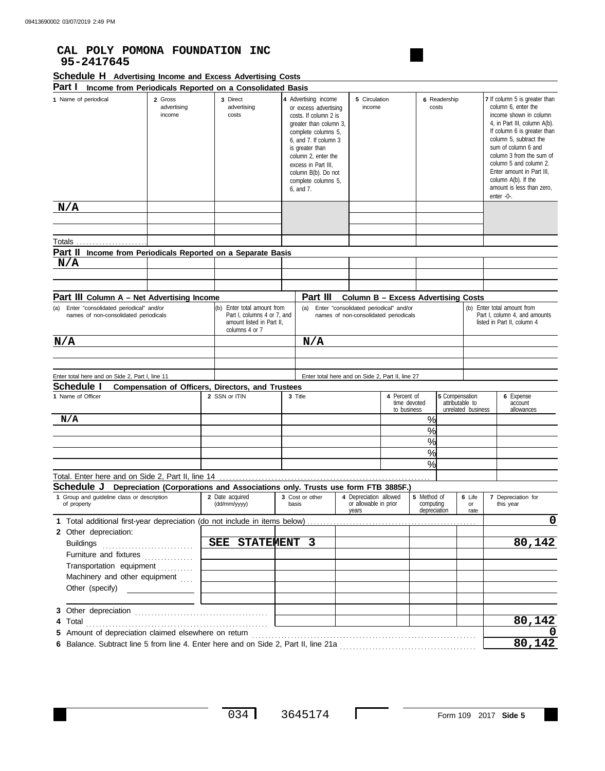### **CAL POLY POMONA FOUNDATION INC 95-2417645**

| Schedule H Advertising Income and Excess Advertising Costs |  |  |  |  |  |
|------------------------------------------------------------|--|--|--|--|--|
|------------------------------------------------------------|--|--|--|--|--|

| Part I<br>1 Name of periodical<br>2 Gross                                                                                            | Income from Periodicals Reported on a Consolidated Basis<br>3 Direct                                      | 4 Advertising income                                                                                                                                                                                                                                 |                                                                                 | 5 Circulation                                   |                                          | 6 Readership   |                                       | <b>7</b> If column 5 is greater than                                                                                                                                                                                                                                                                               |
|--------------------------------------------------------------------------------------------------------------------------------------|-----------------------------------------------------------------------------------------------------------|------------------------------------------------------------------------------------------------------------------------------------------------------------------------------------------------------------------------------------------------------|---------------------------------------------------------------------------------|-------------------------------------------------|------------------------------------------|----------------|---------------------------------------|--------------------------------------------------------------------------------------------------------------------------------------------------------------------------------------------------------------------------------------------------------------------------------------------------------------------|
| income                                                                                                                               | advertising<br>advertising<br>costs                                                                       | or excess advertising<br>costs. If column 2 is<br>greater than column 3,<br>complete columns 5,<br>6, and 7. If column 3<br>is greater than<br>column 2, enter the<br>excess in Part III,<br>column B(b). Do not<br>complete columns 5,<br>6. and 7. |                                                                                 | income                                          |                                          | costs          |                                       | column 6, enter the<br>income shown in column<br>4, in Part III, column A(b).<br>If column 6 is greater than<br>column 5, subtract the<br>sum of column 6 and<br>column 3 from the sum of<br>column 5 and column 2.<br>Enter amount in Part III,<br>column A(b). If the<br>amount is less than zero,<br>enter -0-. |
| N/A                                                                                                                                  |                                                                                                           |                                                                                                                                                                                                                                                      |                                                                                 |                                                 |                                          |                |                                       |                                                                                                                                                                                                                                                                                                                    |
|                                                                                                                                      |                                                                                                           |                                                                                                                                                                                                                                                      |                                                                                 |                                                 |                                          |                |                                       |                                                                                                                                                                                                                                                                                                                    |
| Part II                                                                                                                              | Income from Periodicals Reported on a Separate Basis                                                      |                                                                                                                                                                                                                                                      |                                                                                 |                                                 |                                          |                |                                       |                                                                                                                                                                                                                                                                                                                    |
| N/A                                                                                                                                  |                                                                                                           |                                                                                                                                                                                                                                                      |                                                                                 |                                                 |                                          |                |                                       |                                                                                                                                                                                                                                                                                                                    |
|                                                                                                                                      |                                                                                                           |                                                                                                                                                                                                                                                      |                                                                                 |                                                 |                                          |                |                                       |                                                                                                                                                                                                                                                                                                                    |
|                                                                                                                                      |                                                                                                           |                                                                                                                                                                                                                                                      |                                                                                 |                                                 |                                          |                |                                       |                                                                                                                                                                                                                                                                                                                    |
| Part III Column A - Net Advertising Income                                                                                           |                                                                                                           | Part III                                                                                                                                                                                                                                             |                                                                                 | Column B – Excess Advertising Costs             |                                          |                |                                       |                                                                                                                                                                                                                                                                                                                    |
| Enter "consolidated periodical" and/or<br>(a)<br>names of non-consolidated periodicals                                               | (b) Enter total amount from<br>Part I, columns 4 or 7, and<br>amount listed in Part II,<br>columns 4 or 7 | (a)                                                                                                                                                                                                                                                  | Enter "consolidated periodical" and/or<br>names of non-consolidated periodicals |                                                 |                                          |                |                                       | (b) Enter total amount from<br>Part I, column 4, and amounts<br>listed in Part II, column 4                                                                                                                                                                                                                        |
| N/A                                                                                                                                  |                                                                                                           | N/A                                                                                                                                                                                                                                                  |                                                                                 |                                                 |                                          |                |                                       |                                                                                                                                                                                                                                                                                                                    |
|                                                                                                                                      |                                                                                                           |                                                                                                                                                                                                                                                      |                                                                                 |                                                 |                                          |                |                                       |                                                                                                                                                                                                                                                                                                                    |
| Enter total here and on Side 2, Part I, line 11<br>Schedule I                                                                        | <b>Compensation of Officers, Directors, and Trustees</b>                                                  |                                                                                                                                                                                                                                                      | Enter total here and on Side 2, Part II, line 27                                |                                                 |                                          |                |                                       |                                                                                                                                                                                                                                                                                                                    |
| 1 Name of Officer                                                                                                                    | 2 SSN or ITIN                                                                                             | 3 Title                                                                                                                                                                                                                                              |                                                                                 | 4 Percent of<br>to business                     | time devoted                             | 5 Compensation | attributable to<br>unrelated business | 6 Expense<br>account<br>allowances                                                                                                                                                                                                                                                                                 |
| N/A                                                                                                                                  |                                                                                                           |                                                                                                                                                                                                                                                      |                                                                                 |                                                 | %                                        |                |                                       |                                                                                                                                                                                                                                                                                                                    |
|                                                                                                                                      |                                                                                                           |                                                                                                                                                                                                                                                      |                                                                                 |                                                 | $\frac{0}{0}$                            |                |                                       |                                                                                                                                                                                                                                                                                                                    |
|                                                                                                                                      |                                                                                                           |                                                                                                                                                                                                                                                      |                                                                                 |                                                 | $\frac{0}{0}$                            |                |                                       |                                                                                                                                                                                                                                                                                                                    |
|                                                                                                                                      |                                                                                                           |                                                                                                                                                                                                                                                      |                                                                                 |                                                 | $\frac{0}{0}$                            |                |                                       |                                                                                                                                                                                                                                                                                                                    |
|                                                                                                                                      |                                                                                                           |                                                                                                                                                                                                                                                      |                                                                                 |                                                 | $\frac{0}{0}$                            |                |                                       |                                                                                                                                                                                                                                                                                                                    |
| Total. Enter here and on Side 2, Part II, line 14<br>Schedule J                                                                      | Depreciation (Corporations and Associations only. Trusts use form FTB 3885F.)                             |                                                                                                                                                                                                                                                      |                                                                                 |                                                 |                                          |                |                                       |                                                                                                                                                                                                                                                                                                                    |
| 1 Group and guideline class or description<br>of property                                                                            | 2 Date acquired<br>(dd/mm/yyyy)                                                                           | 3 Cost or other<br>basis                                                                                                                                                                                                                             | years                                                                           | 4 Depreciation allowed<br>or allowable in prior | 5 Method of<br>computing<br>depreciation |                | 6 Life<br>or<br>rate                  | 7 Depreciation for<br>this year                                                                                                                                                                                                                                                                                    |
| 1 Total additional first-year depreciation (do not include in items below)                                                           |                                                                                                           |                                                                                                                                                                                                                                                      |                                                                                 |                                                 |                                          |                |                                       | 0                                                                                                                                                                                                                                                                                                                  |
| 2 Other depreciation:<br><b>Buildings</b>                                                                                            | SEE STATEMENT 3                                                                                           |                                                                                                                                                                                                                                                      |                                                                                 |                                                 |                                          |                |                                       | 80,142                                                                                                                                                                                                                                                                                                             |
| Furniture and fixtures                                                                                                               |                                                                                                           |                                                                                                                                                                                                                                                      |                                                                                 |                                                 |                                          |                |                                       |                                                                                                                                                                                                                                                                                                                    |
| Transportation equipment [1] [1] [1] Transportation equipment<br>Machinery and other equipment<br>Other (specify) __________________ |                                                                                                           |                                                                                                                                                                                                                                                      |                                                                                 |                                                 |                                          |                |                                       |                                                                                                                                                                                                                                                                                                                    |
| Total<br>4                                                                                                                           |                                                                                                           |                                                                                                                                                                                                                                                      |                                                                                 |                                                 |                                          |                |                                       | 80,142                                                                                                                                                                                                                                                                                                             |
| Amount of depreciation claimed elsewhere on return<br>5                                                                              |                                                                                                           |                                                                                                                                                                                                                                                      |                                                                                 |                                                 |                                          |                |                                       |                                                                                                                                                                                                                                                                                                                    |
|                                                                                                                                      |                                                                                                           |                                                                                                                                                                                                                                                      |                                                                                 |                                                 |                                          |                |                                       | 80,142                                                                                                                                                                                                                                                                                                             |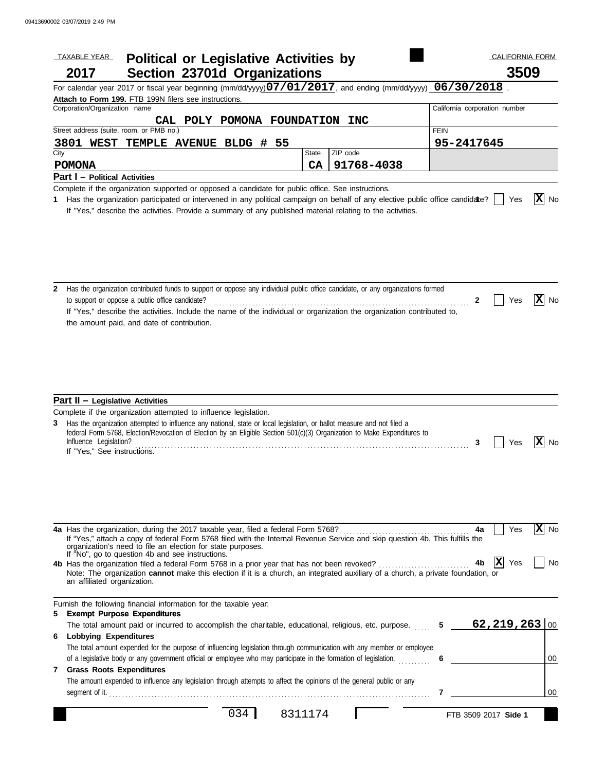|      | <b>TAXABLE YEAR</b>                                                                                                                                                                                                                                                                                                                                                                                                                                                                                      | <b>Political or Legislative Activities by</b> |                   |            |                               | <b>CALIFORNIA FORM</b> |                            |
|------|----------------------------------------------------------------------------------------------------------------------------------------------------------------------------------------------------------------------------------------------------------------------------------------------------------------------------------------------------------------------------------------------------------------------------------------------------------------------------------------------------------|-----------------------------------------------|-------------------|------------|-------------------------------|------------------------|----------------------------|
|      | 2017                                                                                                                                                                                                                                                                                                                                                                                                                                                                                                     | <b>Section 23701d Organizations</b>           |                   |            |                               | 3509                   |                            |
|      | For calendar year 2017 or fiscal year beginning (mm/dd/yyyy) $07/01/2017$ , and ending (mm/dd/yyyy) $\overline{\phantom{0}}$ 06/30/2018                                                                                                                                                                                                                                                                                                                                                                  |                                               |                   |            |                               |                        |                            |
|      | Attach to Form 199. FTB 199N filers see instructions.                                                                                                                                                                                                                                                                                                                                                                                                                                                    |                                               |                   |            |                               |                        |                            |
|      | Corporation/Organization name                                                                                                                                                                                                                                                                                                                                                                                                                                                                            |                                               |                   |            | California corporation number |                        |                            |
|      | Street address (suite, room, or PMB no.)                                                                                                                                                                                                                                                                                                                                                                                                                                                                 | POLY POMONA<br><b>CAL</b>                     | <b>FOUNDATION</b> | <b>INC</b> | <b>FEIN</b>                   |                        |                            |
|      |                                                                                                                                                                                                                                                                                                                                                                                                                                                                                                          |                                               |                   |            |                               |                        |                            |
| City | 3801 WEST                                                                                                                                                                                                                                                                                                                                                                                                                                                                                                | TEMPLE AVENUE BLDG #                          | -55<br>State      | ZIP code   | 95-2417645                    |                        |                            |
|      |                                                                                                                                                                                                                                                                                                                                                                                                                                                                                                          |                                               | CA                | 91768-4038 |                               |                        |                            |
|      | <b>POMONA</b><br><b>Part I</b> - Political Activities                                                                                                                                                                                                                                                                                                                                                                                                                                                    |                                               |                   |            |                               |                        |                            |
|      | Complete if the organization supported or opposed a candidate for public office. See instructions.                                                                                                                                                                                                                                                                                                                                                                                                       |                                               |                   |            |                               |                        |                            |
| 1    | Has the organization participated or intervened in any political campaign on behalf of any elective public office candidate?<br>If "Yes," describe the activities. Provide a summary of any published material relating to the activities.                                                                                                                                                                                                                                                               |                                               |                   |            |                               | Yes                    | X No                       |
| 2    | Has the organization contributed funds to support or oppose any individual public office candidate, or any organizations formed<br>to support or oppose a public office candidate?<br>If "Yes," describe the activities. Include the name of the individual or organization the organization contributed to,<br>the amount paid, and date of contribution.                                                                                                                                               |                                               |                   |            | 2                             | Yes                    | $ X $ No                   |
|      | <b>Part II - Legislative Activities</b>                                                                                                                                                                                                                                                                                                                                                                                                                                                                  |                                               |                   |            |                               |                        |                            |
| 3    | Complete if the organization attempted to influence legislation.<br>Has the organization attempted to influence any national, state or local legislation, or ballot measure and not filed a<br>federal Form 5768, Election/Revocation of Election by an Eligible Section 501(c)(3) Organization to Make Expenditures to<br>Influence Legislation?<br>If "Yes," See instructions.                                                                                                                         |                                               |                   |            | 3                             | Yes                    | $\overline{\mathbf{X}}$ No |
|      | 4a Has the organization, during the 2017 taxable year, filed a federal Form 5768?<br>If "Yes," attach a copy of federal Form 5768 filed with the Internal Revenue Service and skip question 4b. This fulfills the<br>organization's need to file an election for state purposes.<br>If "No", go to question 4b and see instructions.<br>Note: The organization cannot make this election if it is a church, an integrated auxiliary of a church, a private foundation, or<br>an affiliated organization. |                                               |                   |            | 4a                            | Yes<br>ΙX<br>Yes       | $ X $ No<br>No             |
|      | Furnish the following financial information for the taxable year:<br>5 Exempt Purpose Expenditures                                                                                                                                                                                                                                                                                                                                                                                                       |                                               |                   |            |                               |                        |                            |
|      | The total amount paid or incurred to accomplish the charitable, educational, religious, etc. purpose.                                                                                                                                                                                                                                                                                                                                                                                                    |                                               |                   |            | 5                             | 62, 219, 263   00      |                            |
|      | 6 Lobbying Expenditures                                                                                                                                                                                                                                                                                                                                                                                                                                                                                  |                                               |                   |            |                               |                        |                            |
|      | The total amount expended for the purpose of influencing legislation through communication with any member or employee                                                                                                                                                                                                                                                                                                                                                                                   |                                               |                   |            |                               |                        |                            |
|      | of a legislative body or any government official or employee who may participate in the formation of legislation.                                                                                                                                                                                                                                                                                                                                                                                        |                                               |                   |            | 6                             |                        | 00                         |
| 7    | <b>Grass Roots Expenditures</b>                                                                                                                                                                                                                                                                                                                                                                                                                                                                          |                                               |                   |            |                               |                        |                            |
|      | The amount expended to influence any legislation through attempts to affect the opinions of the general public or any                                                                                                                                                                                                                                                                                                                                                                                    |                                               |                   |            |                               |                        |                            |
|      |                                                                                                                                                                                                                                                                                                                                                                                                                                                                                                          |                                               |                   |            | 7                             |                        | 00                         |

034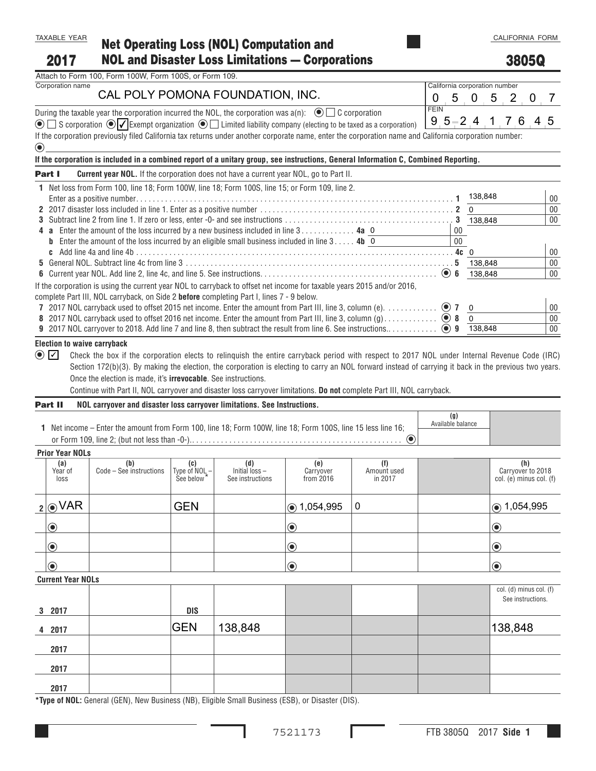**2017**

# **Net Operating Loss (NOL) Computation and NOL and Disaster Loss Limitations — Corporations**

## **3805Q**

| Attach to Form 100, Form 100W, Form 100S, or Form 109. |  |  |  |
|--------------------------------------------------------|--|--|--|

# Corporation name California corporation number CAL POLY POMONA FOUNDATION, INC. 0505207

During the taxable year th<u>e c</u>orporation incurred the NOL, the corporation was a(n):  $\bigcirc$   $\Box$  C corporation  $\bigcirc$ 

 $\bullet$   $\Box$  S corporation  $\bullet$   $\blacktriangledown$  Exempt organization  $\bullet$   $\Box$  Limited liability company (electing to be taxed as a corporation)  $9, 5 - 2, 4, 1, 7, 6, 4, 5$ 

If the corporation previously filed California tax returns under another corporate name, enter the corporation name and California corporation number:  $\curvearrowright$ 

| If the corporation is included in a combined report of a unitary group, see instructions, General Information C, Combined Reporting. |
|--------------------------------------------------------------------------------------------------------------------------------------|
|                                                                                                                                      |

| <b>Current year NOL.</b> If the corporation does not have a current year NOL, go to Part II.<br>Part I                         |     |          |    |
|--------------------------------------------------------------------------------------------------------------------------------|-----|----------|----|
| 1 Net loss from Form 100, line 18; Form 100W, line 18; Form 100S, line 15; or Form 109, line 2.                                |     |          |    |
|                                                                                                                                |     | 138,848  | 00 |
|                                                                                                                                |     | $\Omega$ | 00 |
|                                                                                                                                | 3   | 138.848  | 00 |
| 4 <b>a</b> Enter the amount of the loss incurred by a new business included in line 3 4a 0                                     | 00  |          |    |
| <b>b</b> Enter the amount of the loss incurred by an eligible small business included in line $3 \ldots$ . <b>4b</b> 0         | 00  |          |    |
|                                                                                                                                |     |          | 00 |
|                                                                                                                                |     | 138.848  | 00 |
|                                                                                                                                | - 6 | 138.848  | 00 |
| If the corporation is using the current year NOL to carryback to offset net income for taxable years 2015 and/or 2016,         |     |          |    |
| complete Part III, NOL carryback, on Side 2 <b>before</b> completing Part I, lines 7 - 9 below.                                |     |          |    |
|                                                                                                                                |     |          | 00 |
| 8 2017 NOL carryback used to offset 2016 net income. Enter the amount from Part III, line 3, column $(q)$ ,  ( $\bullet$ ) 8 0 |     |          | 00 |
|                                                                                                                                | q   | 138.848  | 00 |

#### **Election to waive carryback**

 $\bullet$   $\Box$  Check the box if the corporation elects to relinquish the entire carryback period with respect to 2017 NOL under Internal Revenue Code (IRC) Section 172(b)(3). By making the election, the corporation is electing to carry an NOL forward instead of carrying it back in the previous two years. Once the election is made, it's **irrevocable**. See instructions.

Continue with Part II, NOL carryover and disaster loss carryover limitations. **Do not** complete Part III, NOL carryback.

#### **Part II NOL carryover and disaster loss carryover limitations. See Instructions.**

| 1 Net income – Enter the amount from Form 100, line 18; Form 100W, line 18; Form 100S, line 15 less line 16; |  |
|--------------------------------------------------------------------------------------------------------------|--|
|                                                                                                              |  |

**(g)** Available balance

#### **Prior Year NOLs**

**2017**

**2017 2017**

| <b>THUL IGALIVALS</b>         |                                |                                                                   |                                           |                               |                               |                                                     |
|-------------------------------|--------------------------------|-------------------------------------------------------------------|-------------------------------------------|-------------------------------|-------------------------------|-----------------------------------------------------|
| (a)<br>Year of<br>loss        | (b)<br>Code - See instructions | (c)<br>$\left \frac{\text{Type of NOL}}{\text{See below}}\right $ | (d)<br>Initial loss -<br>See instructions | (e)<br>Carryover<br>from 2016 | (f)<br>Amount used<br>in 2017 | (h)<br>Carryover to 2018<br>col. (e) minus col. (f) |
| $2$ OVAR                      |                                | <b>GEN</b>                                                        |                                           | $\circ$ 1,054,995             | $\mathbf 0$                   | $\circ$ 1,054,995                                   |
| $  \textcolor{teal}{\bullet}$ |                                |                                                                   |                                           | $\bigcirc$                    |                               | $\odot$                                             |
| $ \mathbf{O} $                |                                |                                                                   |                                           | $\bigcirc$                    |                               | $\bigcirc$                                          |
| $  \textcolor{teal}{\bullet}$ |                                |                                                                   |                                           | $\bigcirc$                    |                               | $\odot$                                             |
| <b>Current Year NOLs</b>      |                                |                                                                   |                                           |                               |                               |                                                     |
| 3 2017                        |                                | DIS                                                               |                                           |                               |                               | col. (d) minus col. (f)<br>See instructions.        |
| 4 2017                        |                                | <b>GEN</b>                                                        | 138,848                                   |                               |                               | 138,848                                             |
|                               |                                |                                                                   |                                           |                               |                               |                                                     |

**\*Type of NOL:** General (GEN), New Business (NB), Eligible Small Business (ESB), or Disaster (DIS).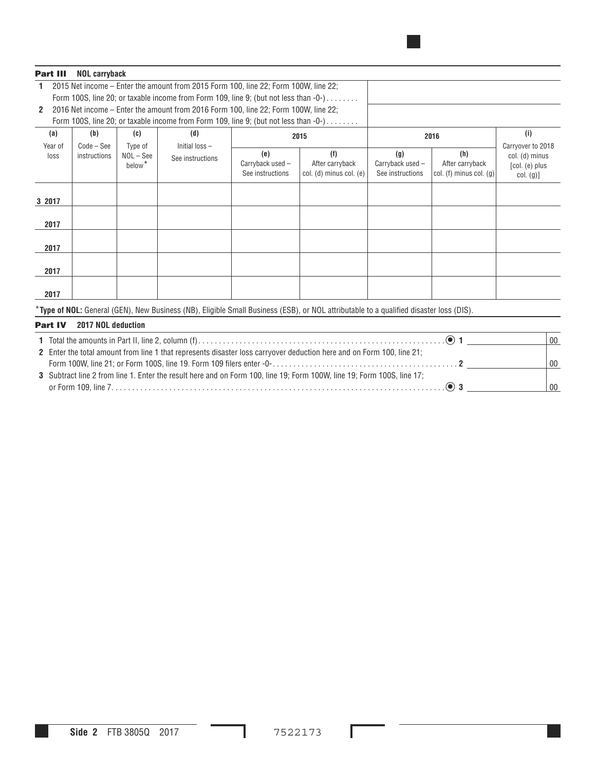#### **Part III NOL carryback**

| 1 2015 Net income – Enter the amount from 2015 Form 100. line 22: Form 100W, line 22:              |
|----------------------------------------------------------------------------------------------------|
| Form 100S, line 20; or taxable income from Form 109, line 9; (but not less than -0-)               |
| $2$ 2016 Net income $=$ Enter the amount from 2016 Form 100 $\lim_{\Delta} 22$ Form 100W line $22$ |

|  |  | $\mathsf{\Sigma}$ $\mathsf{\Sigma}$ 2010 Net mcome – Enter the amount from 2010 Form Too, line 22, Form Toow, line 22, |  |  |  |  |  |
|--|--|------------------------------------------------------------------------------------------------------------------------|--|--|--|--|--|
|  |  |                                                                                                                        |  |  |  |  |  |

|                   |     |      |    | Form 100S, line 20; or taxable income from Form 109, line 9; (but not less than -0-) |             |              |         |
|-------------------|-----|------|----|--------------------------------------------------------------------------------------|-------------|--------------|---------|
| (i)<br>2016       |     | 2015 |    | (d)                                                                                  | (C)         | (b)          | (a      |
| Carrvover         |     |      |    | Initial loss-                                                                        | Type of     | $Code - See$ | Year of |
| (h)<br>$col.$ (d) | (g) |      | (e | See instructions                                                                     | $NOL - See$ | instructions | loss    |

| Year of<br>loss | $Code - See$<br>instructions | Type of<br>$NOL - See$<br>below <sup>*</sup> | Initial loss -<br>See instructions | (e)<br>Carryback used -<br>See instructions | (f)<br>After carryback<br>col. (d) minus col. (e) | (g)<br>Carryback used -<br>See instructions | (h)<br>After carryback<br>$ col.$ (f) minus col. (g) | Carryover to 2018<br>col. (d) minus<br>[col. (e) plus<br>col. (g) |
|-----------------|------------------------------|----------------------------------------------|------------------------------------|---------------------------------------------|---------------------------------------------------|---------------------------------------------|------------------------------------------------------|-------------------------------------------------------------------|
| 3 2017          |                              |                                              |                                    |                                             |                                                   |                                             |                                                      |                                                                   |
| 2017            |                              |                                              |                                    |                                             |                                                   |                                             |                                                      |                                                                   |
| 2017            |                              |                                              |                                    |                                             |                                                   |                                             |                                                      |                                                                   |
| 2017            |                              |                                              |                                    |                                             |                                                   |                                             |                                                      |                                                                   |
| 2017            |                              |                                              |                                    |                                             |                                                   |                                             |                                                      |                                                                   |

\***Type of NOL:** General (GEN), New Business (NB), Eligible Small Business (ESB), or NOL attributable to a qualified disaster loss (DIS).

#### **Part IV 2017 NOL deduction**

|                                                                                                                            | 00 |
|----------------------------------------------------------------------------------------------------------------------------|----|
| 21; 21 Enter the total amount from line 1 that represents disaster loss carryover deduction here and on Form 100, line 21( |    |
|                                                                                                                            | 00 |
| 3 Subtract line 2 from line 1. Enter the result here and on Form 100, line 19; Form 100W, line 19; Form 100S, line 17;     |    |
|                                                                                                                            | 00 |

L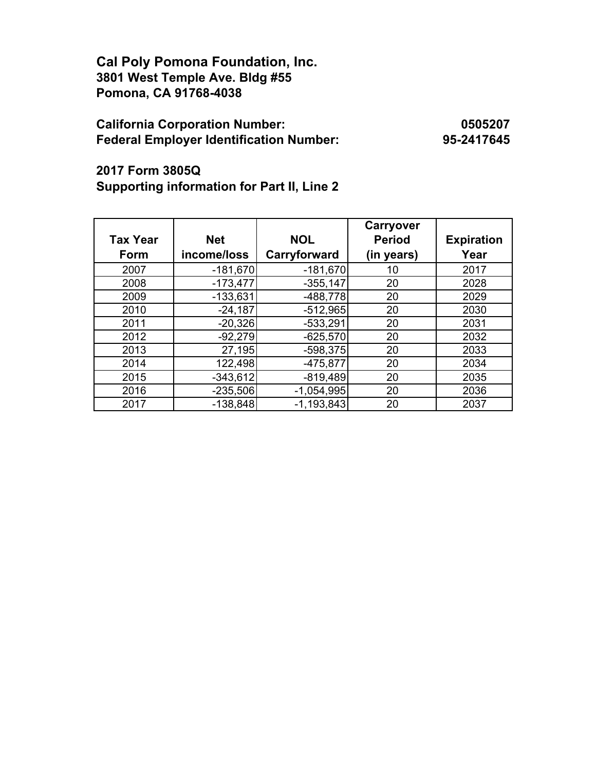**Cal Poly Pomona Foundation, Inc. 3801 West Temple Ave. Bldg #55 Pomona, CA 91768-4038**

## **California Corporation Number: 0505207 Federal Employer Identification Number: 95-2417645**

**2017 Form 3805Q Supporting information for Part II, Line 2**

|                 |             |              | Carryover     |                   |
|-----------------|-------------|--------------|---------------|-------------------|
| <b>Tax Year</b> | <b>Net</b>  | <b>NOL</b>   | <b>Period</b> | <b>Expiration</b> |
| Form            | income/loss | Carryforward | (in years)    | Year              |
| 2007            | $-181,670$  | $-181,670$   | 10            | 2017              |
| 2008            | $-173,477$  | $-355,147$   | 20            | 2028              |
| 2009            | $-133,631$  | $-488,778$   | 20            | 2029              |
| 2010            | $-24,187$   | $-512,965$   | 20            | 2030              |
| 2011            | $-20,326$   | $-533,291$   | 20            | 2031              |
| 2012            | $-92,279$   | $-625,570$   | 20            | 2032              |
| 2013            | 27,195      | $-598,375$   | 20            | 2033              |
| 2014            | 122,498     | $-475,877$   | 20            | 2034              |
| 2015            | $-343,612$  | $-819,489$   | 20            | 2035              |
| 2016            | $-235,506$  | $-1,054,995$ | 20            | 2036              |
| 2017            | $-138,848$  | $-1,193,843$ | 20            | 2037              |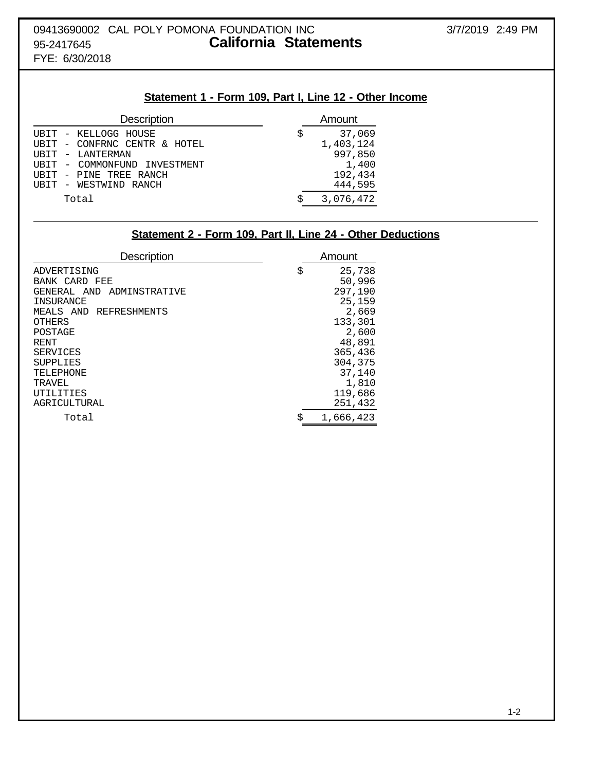# **Statement 1 - Form 109, Part I, Line 12 - Other Income**

|   | Amount    |
|---|-----------|
| S | 37,069    |
|   | 1,403,124 |
|   | 997,850   |
|   | 1,400     |
|   | 192,434   |
|   | 444,595   |
|   | 3,076,472 |
|   |           |

## **Statement 2 - Form 109, Part II, Line 24 - Other Deductions**

| <b>Description</b>           | Amount          |
|------------------------------|-----------------|
| ADVERTISING                  | \$<br>25,738    |
| BANK CARD<br>FEE             | 50,996          |
| ADMINSTRATIVE<br>GENERAL AND | 297,190         |
| INSURANCE                    | 25,159          |
| MEALS AND REFRESHMENTS       | 2,669           |
| <b>OTHERS</b>                | 133,301         |
| POSTAGE                      | 2,600           |
| RENT <sup></sup>             | 48,891          |
| SERVICES                     | 365,436         |
| <b>SUPPLIES</b>              | 304,375         |
| TELEPHONE                    | 37,140          |
| TRAVEL                       | 1,810           |
| UTILITIES                    | 119,686         |
| AGRICULTURAL                 | 251,432         |
| Total                        | \$<br>1,666,423 |